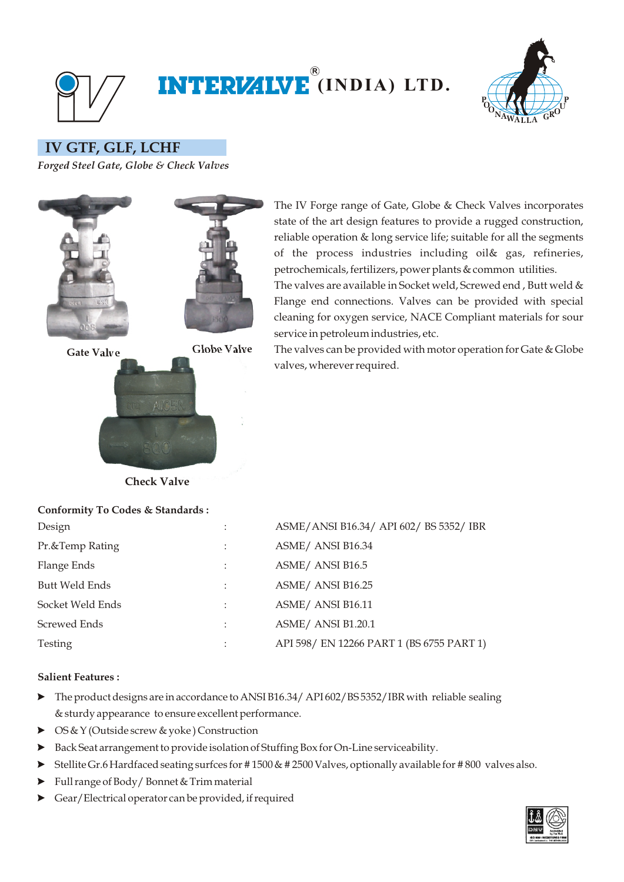

## **(INDIA) LTD. R**



 **IV GTF, GLF, LCHF** 

*Forged Steel Gate, Globe & Check Valves*



The IV Forge range of Gate, Globe & Check Valves incorporates state of the art design features to provide a rugged construction, reliable operation & long service life; suitable for all the segments of the process industries including oil& gas, refineries, petrochemicals, fertilizers, power plants & common utilities.

The valves are available in Socket weld, Screwed end , Butt weld & Flange end connections. Valves can be provided with special cleaning for oxygen service, NACE Compliant materials for sour service in petroleum industries, etc.

The valves can be provided with motor operation for Gate & Globe valves, wherever required.

**Check Valve**

**Conformity To Codes & Standards :**

| $\cdot$<br>$\ddot{\phantom{0}}$ | ASME/ANSI B16.34/ API 602/ BS 5352/ IBR   |
|---------------------------------|-------------------------------------------|
| ٠                               | ASME/ ANSI B16.34                         |
|                                 | ASME/ ANSI B16.5                          |
|                                 | ASME/ ANSI B16.25                         |
| $\bullet$                       | ASME/ ANSI B16.11                         |
| $\bullet$                       | ASME/ ANSI B1.20.1                        |
| $\bullet$                       | API 598/ EN 12266 PART 1 (BS 6755 PART 1) |
|                                 |                                           |

## **Salient Features :**

- The product designs are in accordance to ANSI B16.34/ API 602/BS 5352/IBR with reliable sealing & sturdy appearance to ensure excellent performance.
- ▶ OS & Y (Outside screw & yoke) Construction
- ? Back Seat arrangement to provide isolation of Stuffing Box for On-Line serviceability.
- ? Stellite Gr.6 Hardfaced seating surfces for # 1500 & # 2500 Valves, optionally available for # 800 valves also.
- ? Full range of Body/ Bonnet & Trim material
- ? Gear/Electrical operator can be provided, if required